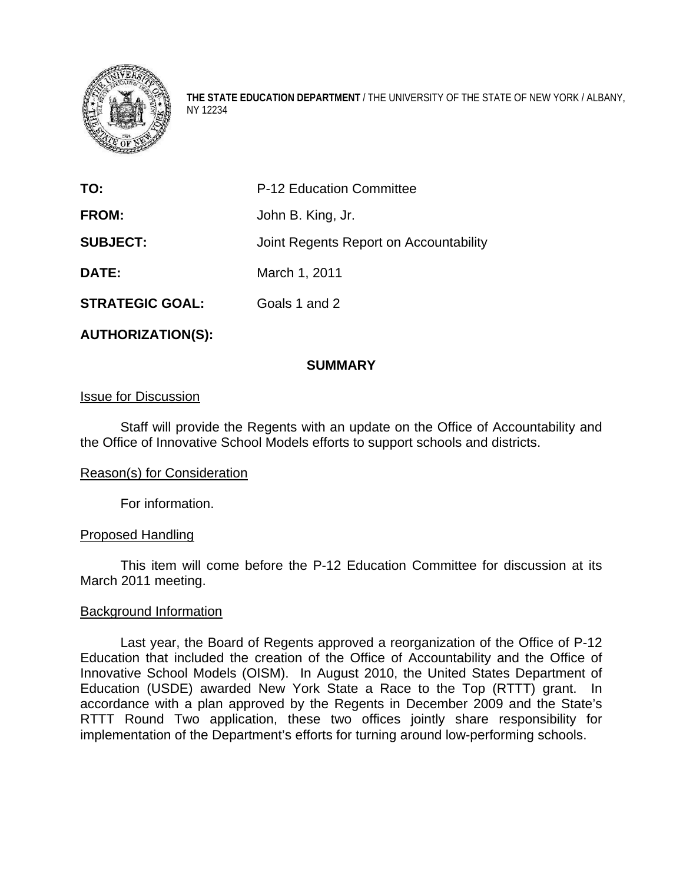

**THE STATE EDUCATION DEPARTMENT** / THE UNIVERSITY OF THE STATE OF NEW YORK / ALBANY, NY 12234

| TO:                    | <b>P-12 Education Committee</b>        |
|------------------------|----------------------------------------|
| <b>FROM:</b>           | John B. King, Jr.                      |
| <b>SUBJECT:</b>        | Joint Regents Report on Accountability |
| DATE:                  | March 1, 2011                          |
| <b>STRATEGIC GOAL:</b> | Goals 1 and 2                          |

**AUTHORIZATION(S):** 

### **SUMMARY**

### Issue for Discussion

Staff will provide the Regents with an update on the Office of Accountability and the Office of Innovative School Models efforts to support schools and districts.

#### Reason(s) for Consideration

For information.

#### Proposed Handling

This item will come before the P-12 Education Committee for discussion at its March 2011 meeting.

#### Background Information

 Last year, the Board of Regents approved a reorganization of the Office of P-12 Education that included the creation of the Office of Accountability and the Office of Innovative School Models (OISM). In August 2010, the United States Department of Education (USDE) awarded New York State a Race to the Top (RTTT) grant. In accordance with a plan approved by the Regents in December 2009 and the State's RTTT Round Two application, these two offices jointly share responsibility for implementation of the Department's efforts for turning around low-performing schools.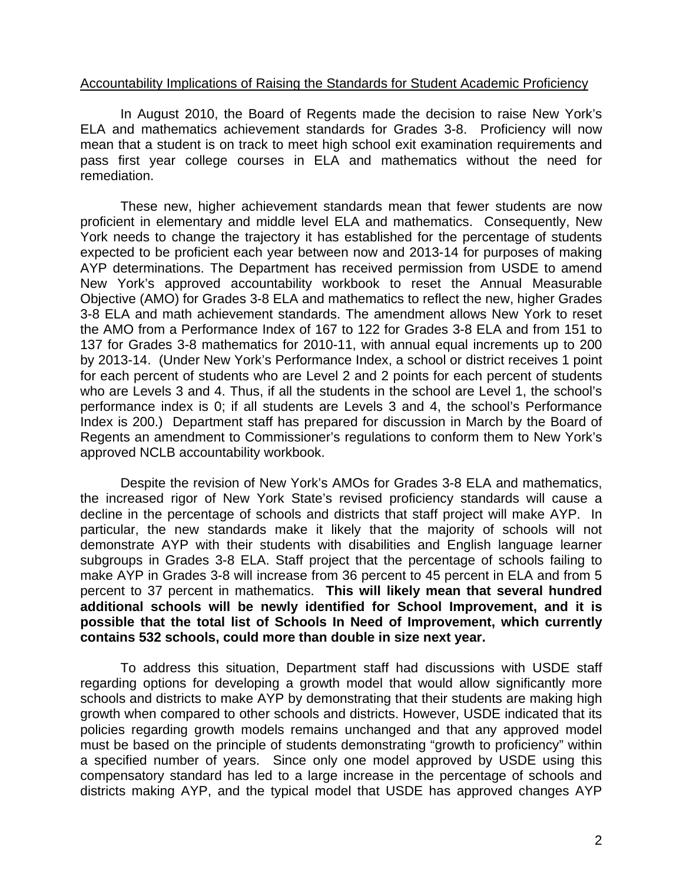### Accountability Implications of Raising the Standards for Student Academic Proficiency

In August 2010, the Board of Regents made the decision to raise New York's ELA and mathematics achievement standards for Grades 3-8. Proficiency will now mean that a student is on track to meet high school exit examination requirements and pass first year college courses in ELA and mathematics without the need for remediation.

These new, higher achievement standards mean that fewer students are now proficient in elementary and middle level ELA and mathematics. Consequently, New York needs to change the trajectory it has established for the percentage of students expected to be proficient each year between now and 2013-14 for purposes of making AYP determinations. The Department has received permission from USDE to amend New York's approved accountability workbook to reset the Annual Measurable Objective (AMO) for Grades 3-8 ELA and mathematics to reflect the new, higher Grades 3-8 ELA and math achievement standards. The amendment allows New York to reset the AMO from a Performance Index of 167 to 122 for Grades 3-8 ELA and from 151 to 137 for Grades 3-8 mathematics for 2010-11, with annual equal increments up to 200 by 2013-14. (Under New York's Performance Index, a school or district receives 1 point for each percent of students who are Level 2 and 2 points for each percent of students who are Levels 3 and 4. Thus, if all the students in the school are Level 1, the school's performance index is 0; if all students are Levels 3 and 4, the school's Performance Index is 200.) Department staff has prepared for discussion in March by the Board of Regents an amendment to Commissioner's regulations to conform them to New York's approved NCLB accountability workbook.

Despite the revision of New York's AMOs for Grades 3-8 ELA and mathematics, the increased rigor of New York State's revised proficiency standards will cause a decline in the percentage of schools and districts that staff project will make AYP. In particular, the new standards make it likely that the majority of schools will not demonstrate AYP with their students with disabilities and English language learner subgroups in Grades 3-8 ELA. Staff project that the percentage of schools failing to make AYP in Grades 3-8 will increase from 36 percent to 45 percent in ELA and from 5 percent to 37 percent in mathematics. **This will likely mean that several hundred additional schools will be newly identified for School Improvement, and it is possible that the total list of Schools In Need of Improvement, which currently contains 532 schools, could more than double in size next year.**

To address this situation, Department staff had discussions with USDE staff regarding options for developing a growth model that would allow significantly more schools and districts to make AYP by demonstrating that their students are making high growth when compared to other schools and districts. However, USDE indicated that its policies regarding growth models remains unchanged and that any approved model must be based on the principle of students demonstrating "growth to proficiency" within a specified number of years. Since only one model approved by USDE using this compensatory standard has led to a large increase in the percentage of schools and districts making AYP, and the typical model that USDE has approved changes AYP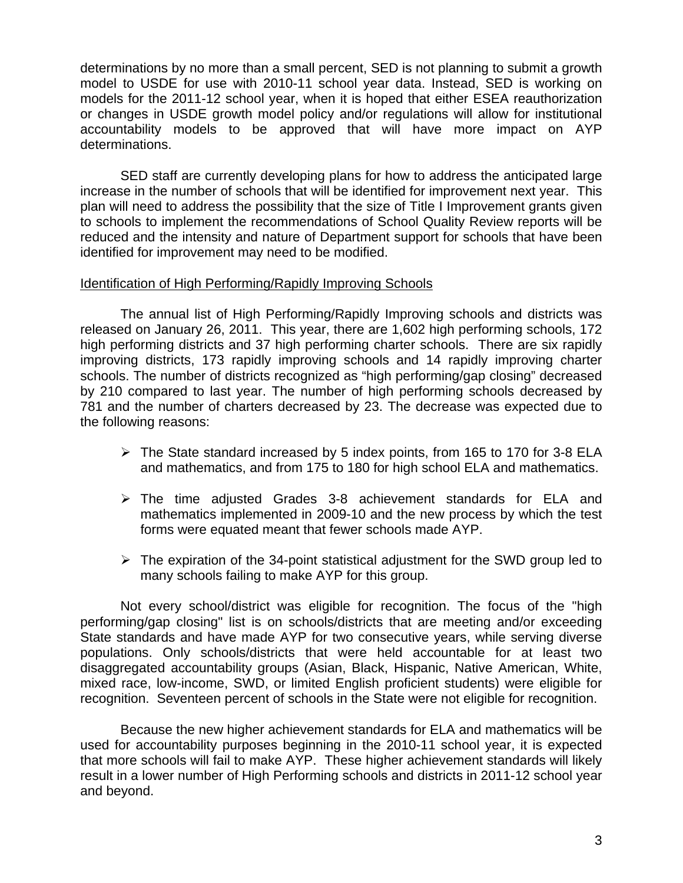determinations by no more than a small percent, SED is not planning to submit a growth model to USDE for use with 2010-11 school year data. Instead, SED is working on models for the 2011-12 school year, when it is hoped that either ESEA reauthorization or changes in USDE growth model policy and/or regulations will allow for institutional accountability models to be approved that will have more impact on AYP determinations.

SED staff are currently developing plans for how to address the anticipated large increase in the number of schools that will be identified for improvement next year. This plan will need to address the possibility that the size of Title I Improvement grants given to schools to implement the recommendations of School Quality Review reports will be reduced and the intensity and nature of Department support for schools that have been identified for improvement may need to be modified.

### Identification of High Performing/Rapidly Improving Schools

 The annual list of High Performing/Rapidly Improving schools and districts was released on January 26, 2011. This year, there are 1,602 high performing schools, 172 high performing districts and 37 high performing charter schools. There are six rapidly improving districts, 173 rapidly improving schools and 14 rapidly improving charter schools. The number of districts recognized as "high performing/gap closing" decreased by 210 compared to last year. The number of high performing schools decreased by 781 and the number of charters decreased by 23. The decrease was expected due to the following reasons:

- $\triangleright$  The State standard increased by 5 index points, from 165 to 170 for 3-8 ELA and mathematics, and from 175 to 180 for high school ELA and mathematics.
- $\triangleright$  The time adjusted Grades 3-8 achievement standards for ELA and mathematics implemented in 2009-10 and the new process by which the test forms were equated meant that fewer schools made AYP.
- $\triangleright$  The expiration of the 34-point statistical adjustment for the SWD group led to many schools failing to make AYP for this group.

Not every school/district was eligible for recognition. The focus of the "high performing/gap closing" list is on schools/districts that are meeting and/or exceeding State standards and have made AYP for two consecutive years, while serving diverse populations. Only schools/districts that were held accountable for at least two disaggregated accountability groups (Asian, Black, Hispanic, Native American, White, mixed race, low-income, SWD, or limited English proficient students) were eligible for recognition. Seventeen percent of schools in the State were not eligible for recognition.

Because the new higher achievement standards for ELA and mathematics will be used for accountability purposes beginning in the 2010-11 school year, it is expected that more schools will fail to make AYP. These higher achievement standards will likely result in a lower number of High Performing schools and districts in 2011-12 school year and beyond.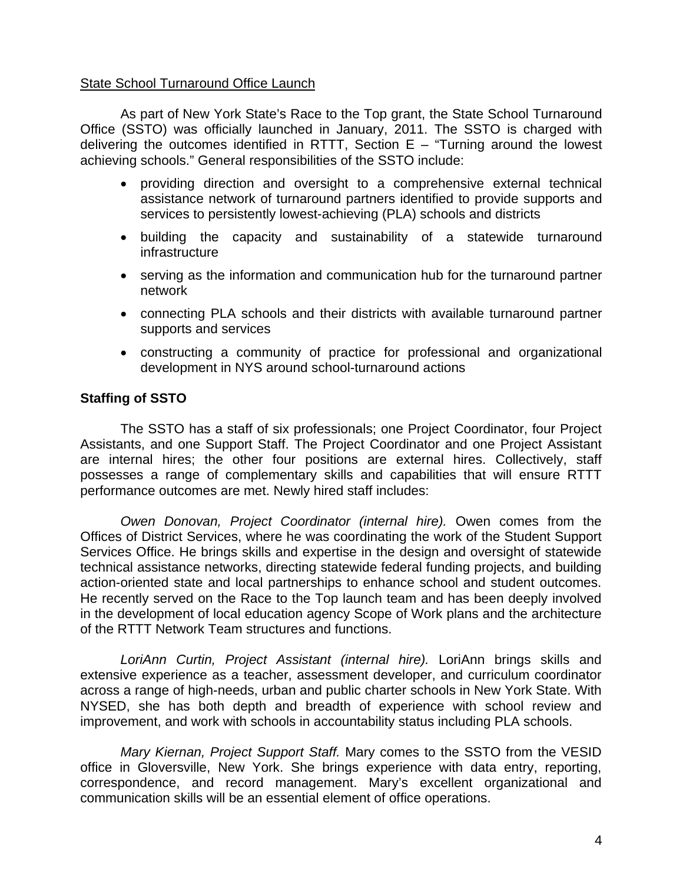### State School Turnaround Office Launch

 As part of New York State's Race to the Top grant, the State School Turnaround Office (SSTO) was officially launched in January, 2011. The SSTO is charged with delivering the outcomes identified in RTTT, Section  $E -$  "Turning around the lowest achieving schools." General responsibilities of the SSTO include:

- providing direction and oversight to a comprehensive external technical assistance network of turnaround partners identified to provide supports and services to persistently lowest-achieving (PLA) schools and districts
- building the capacity and sustainability of a statewide turnaround infrastructure
- serving as the information and communication hub for the turnaround partner network
- connecting PLA schools and their districts with available turnaround partner supports and services
- constructing a community of practice for professional and organizational development in NYS around school-turnaround actions

# **Staffing of SSTO**

 The SSTO has a staff of six professionals; one Project Coordinator, four Project Assistants, and one Support Staff. The Project Coordinator and one Project Assistant are internal hires; the other four positions are external hires. Collectively, staff possesses a range of complementary skills and capabilities that will ensure RTTT performance outcomes are met. Newly hired staff includes:

*Owen Donovan, Project Coordinator (internal hire).* Owen comes from the Offices of District Services, where he was coordinating the work of the Student Support Services Office. He brings skills and expertise in the design and oversight of statewide technical assistance networks, directing statewide federal funding projects, and building action-oriented state and local partnerships to enhance school and student outcomes. He recently served on the Race to the Top launch team and has been deeply involved in the development of local education agency Scope of Work plans and the architecture of the RTTT Network Team structures and functions.

 *LoriAnn Curtin, Project Assistant (internal hire).* LoriAnn brings skills and extensive experience as a teacher, assessment developer, and curriculum coordinator across a range of high-needs, urban and public charter schools in New York State. With NYSED, she has both depth and breadth of experience with school review and improvement, and work with schools in accountability status including PLA schools.

*Mary Kiernan, Project Support Staff.* Mary comes to the SSTO from the VESID office in Gloversville, New York. She brings experience with data entry, reporting, correspondence, and record management. Mary's excellent organizational and communication skills will be an essential element of office operations.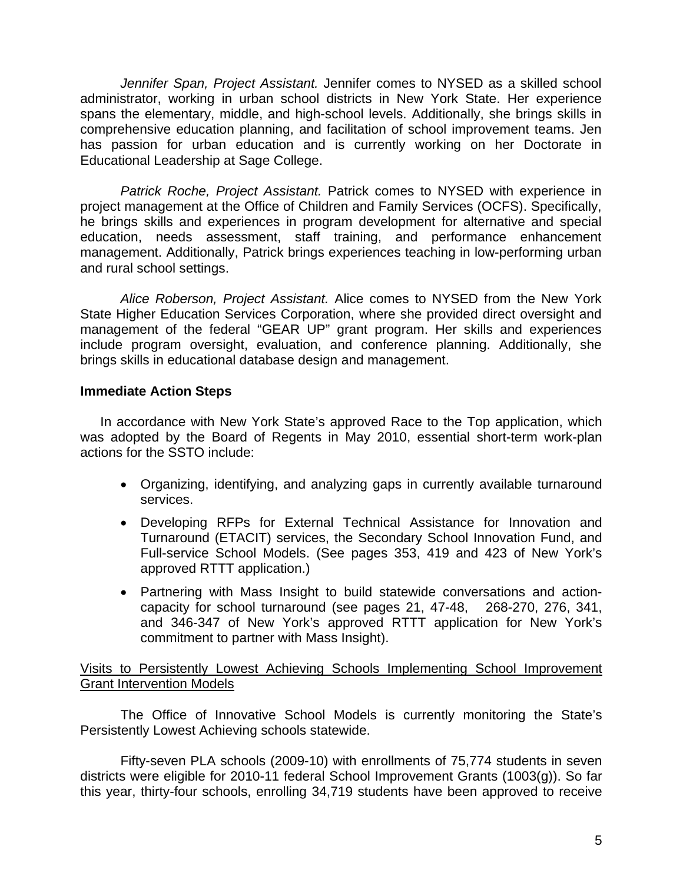*Jennifer Span, Project Assistant.* Jennifer comes to NYSED as a skilled school administrator, working in urban school districts in New York State. Her experience spans the elementary, middle, and high-school levels. Additionally, she brings skills in comprehensive education planning, and facilitation of school improvement teams. Jen has passion for urban education and is currently working on her Doctorate in Educational Leadership at Sage College.

*Patrick Roche, Project Assistant.* Patrick comes to NYSED with experience in project management at the Office of Children and Family Services (OCFS). Specifically, he brings skills and experiences in program development for alternative and special education, needs assessment, staff training, and performance enhancement management. Additionally, Patrick brings experiences teaching in low-performing urban and rural school settings.

*Alice Roberson, Project Assistant.* Alice comes to NYSED from the New York State Higher Education Services Corporation, where she provided direct oversight and management of the federal "GEAR UP" grant program. Her skills and experiences include program oversight, evaluation, and conference planning. Additionally, she brings skills in educational database design and management.

# **Immediate Action Steps**

In accordance with New York State's approved Race to the Top application, which was adopted by the Board of Regents in May 2010, essential short-term work-plan actions for the SSTO include:

- Organizing, identifying, and analyzing gaps in currently available turnaround services.
- Developing RFPs for External Technical Assistance for Innovation and Turnaround (ETACIT) services, the Secondary School Innovation Fund, and Full-service School Models. (See pages 353, 419 and 423 of New York's approved RTTT application.)
- Partnering with Mass Insight to build statewide conversations and actioncapacity for school turnaround (see pages 21, 47-48, 268-270, 276, 341, and 346-347 of New York's approved RTTT application for New York's commitment to partner with Mass Insight).

Visits to Persistently Lowest Achieving Schools Implementing School Improvement Grant Intervention Models

The Office of Innovative School Models is currently monitoring the State's Persistently Lowest Achieving schools statewide.

Fifty-seven PLA schools (2009-10) with enrollments of 75,774 students in seven districts were eligible for 2010-11 federal School Improvement Grants (1003(g)). So far this year, thirty-four schools, enrolling 34,719 students have been approved to receive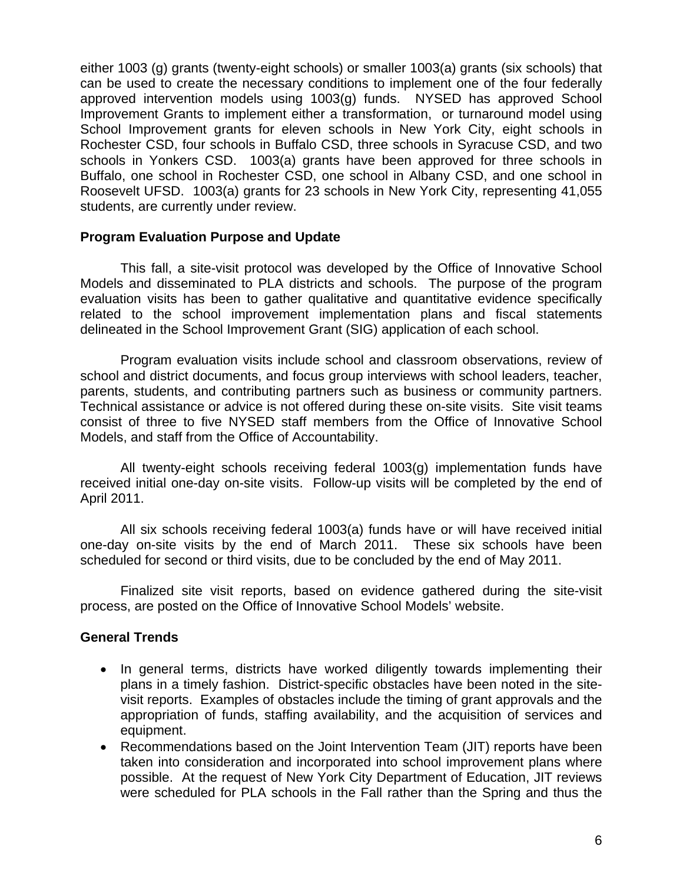either 1003 (g) grants (twenty-eight schools) or smaller 1003(a) grants (six schools) that can be used to create the necessary conditions to implement one of the four federally approved intervention models using 1003(g) funds. NYSED has approved School Improvement Grants to implement either a transformation, or turnaround model using School Improvement grants for eleven schools in New York City, eight schools in Rochester CSD, four schools in Buffalo CSD, three schools in Syracuse CSD, and two schools in Yonkers CSD. 1003(a) grants have been approved for three schools in Buffalo, one school in Rochester CSD, one school in Albany CSD, and one school in Roosevelt UFSD. 1003(a) grants for 23 schools in New York City, representing 41,055 students, are currently under review.

### **Program Evaluation Purpose and Update**

This fall, a site-visit protocol was developed by the Office of Innovative School Models and disseminated to PLA districts and schools. The purpose of the program evaluation visits has been to gather qualitative and quantitative evidence specifically related to the school improvement implementation plans and fiscal statements delineated in the School Improvement Grant (SIG) application of each school.

Program evaluation visits include school and classroom observations, review of school and district documents, and focus group interviews with school leaders, teacher, parents, students, and contributing partners such as business or community partners. Technical assistance or advice is not offered during these on-site visits. Site visit teams consist of three to five NYSED staff members from the Office of Innovative School Models, and staff from the Office of Accountability.

All twenty-eight schools receiving federal 1003(g) implementation funds have received initial one-day on-site visits. Follow-up visits will be completed by the end of April 2011.

All six schools receiving federal 1003(a) funds have or will have received initial one-day on-site visits by the end of March 2011. These six schools have been scheduled for second or third visits, due to be concluded by the end of May 2011.

Finalized site visit reports, based on evidence gathered during the site-visit process, are posted on the Office of Innovative School Models' website.

# **General Trends**

- In general terms, districts have worked diligently towards implementing their plans in a timely fashion. District-specific obstacles have been noted in the sitevisit reports. Examples of obstacles include the timing of grant approvals and the appropriation of funds, staffing availability, and the acquisition of services and equipment.
- Recommendations based on the Joint Intervention Team (JIT) reports have been taken into consideration and incorporated into school improvement plans where possible. At the request of New York City Department of Education, JIT reviews were scheduled for PLA schools in the Fall rather than the Spring and thus the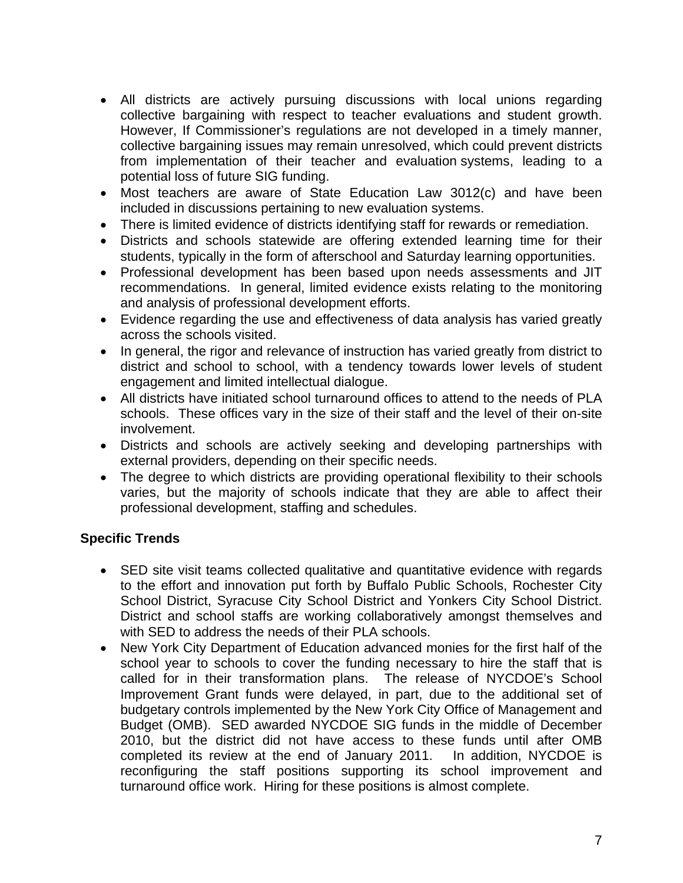- All districts are actively pursuing discussions with local unions regarding collective bargaining with respect to teacher evaluations and student growth. However, If Commissioner's regulations are not developed in a timely manner, collective bargaining issues may remain unresolved, which could prevent districts from implementation of their teacher and evaluation systems, leading to a potential loss of future SIG funding.
- Most teachers are aware of State Education Law 3012(c) and have been included in discussions pertaining to new evaluation systems.
- There is limited evidence of districts identifying staff for rewards or remediation.
- Districts and schools statewide are offering extended learning time for their students, typically in the form of afterschool and Saturday learning opportunities.
- Professional development has been based upon needs assessments and JIT recommendations. In general, limited evidence exists relating to the monitoring and analysis of professional development efforts.
- Evidence regarding the use and effectiveness of data analysis has varied greatly across the schools visited.
- In general, the rigor and relevance of instruction has varied greatly from district to district and school to school, with a tendency towards lower levels of student engagement and limited intellectual dialogue.
- All districts have initiated school turnaround offices to attend to the needs of PLA schools. These offices vary in the size of their staff and the level of their on-site involvement.
- Districts and schools are actively seeking and developing partnerships with external providers, depending on their specific needs.
- The degree to which districts are providing operational flexibility to their schools varies, but the majority of schools indicate that they are able to affect their professional development, staffing and schedules.

# **Specific Trends**

- SED site visit teams collected qualitative and quantitative evidence with regards to the effort and innovation put forth by Buffalo Public Schools, Rochester City School District, Syracuse City School District and Yonkers City School District. District and school staffs are working collaboratively amongst themselves and with SED to address the needs of their PLA schools.
- New York City Department of Education advanced monies for the first half of the school year to schools to cover the funding necessary to hire the staff that is called for in their transformation plans. The release of NYCDOE's School Improvement Grant funds were delayed, in part, due to the additional set of budgetary controls implemented by the New York City Office of Management and Budget (OMB). SED awarded NYCDOE SIG funds in the middle of December 2010, but the district did not have access to these funds until after OMB completed its review at the end of January 2011. In addition, NYCDOE is reconfiguring the staff positions supporting its school improvement and turnaround office work. Hiring for these positions is almost complete.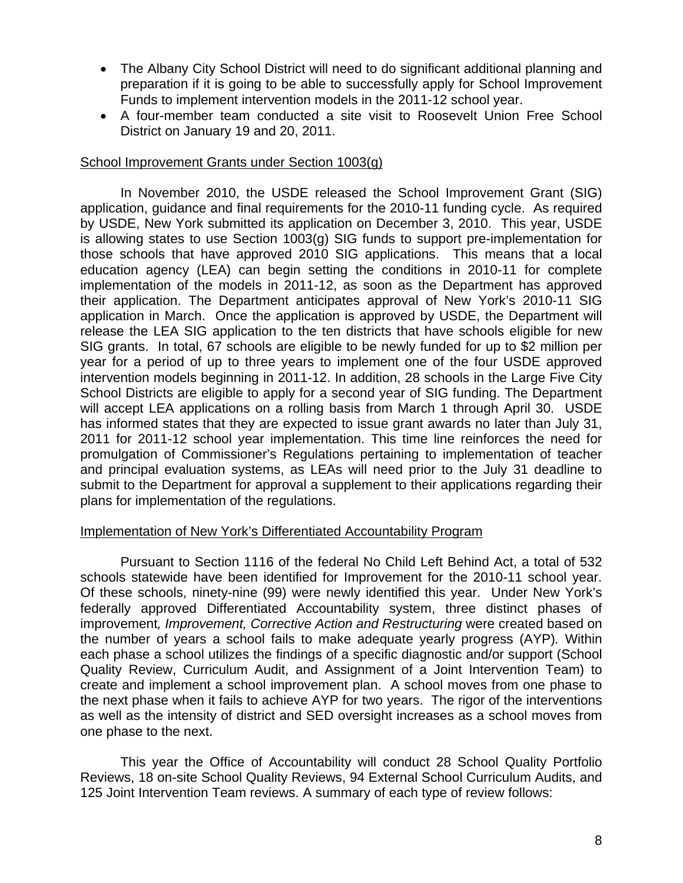- The Albany City School District will need to do significant additional planning and preparation if it is going to be able to successfully apply for School Improvement Funds to implement intervention models in the 2011-12 school year.
- A four-member team conducted a site visit to Roosevelt Union Free School District on January 19 and 20, 2011.

# School Improvement Grants under Section 1003(g)

In November 2010, the USDE released the School Improvement Grant (SIG) application, guidance and final requirements for the 2010-11 funding cycle. As required by USDE, New York submitted its application on December 3, 2010. This year, USDE is allowing states to use Section 1003(g) SIG funds to support pre-implementation for those schools that have approved 2010 SIG applications. This means that a local education agency (LEA) can begin setting the conditions in 2010-11 for complete implementation of the models in 2011-12, as soon as the Department has approved their application. The Department anticipates approval of New York's 2010-11 SIG application in March. Once the application is approved by USDE, the Department will release the LEA SIG application to the ten districts that have schools eligible for new SIG grants. In total, 67 schools are eligible to be newly funded for up to \$2 million per year for a period of up to three years to implement one of the four USDE approved intervention models beginning in 2011-12. In addition, 28 schools in the Large Five City School Districts are eligible to apply for a second year of SIG funding. The Department will accept LEA applications on a rolling basis from March 1 through April 30. USDE has informed states that they are expected to issue grant awards no later than July 31, 2011 for 2011-12 school year implementation. This time line reinforces the need for promulgation of Commissioner's Regulations pertaining to implementation of teacher and principal evaluation systems, as LEAs will need prior to the July 31 deadline to submit to the Department for approval a supplement to their applications regarding their plans for implementation of the regulations.

#### Implementation of New York's Differentiated Accountability Program

Pursuant to Section 1116 of the federal No Child Left Behind Act, a total of 532 schools statewide have been identified for Improvement for the 2010-11 school year. Of these schools, ninety-nine (99) were newly identified this year. Under New York's federally approved Differentiated Accountability system, three distinct phases of improvement*, Improvement, Corrective Action and Restructuring* were created based on the number of years a school fails to make adequate yearly progress (AYP)*.* Within each phase a school utilizes the findings of a specific diagnostic and/or support (School Quality Review, Curriculum Audit, and Assignment of a Joint Intervention Team) to create and implement a school improvement plan. A school moves from one phase to the next phase when it fails to achieve AYP for two years. The rigor of the interventions as well as the intensity of district and SED oversight increases as a school moves from one phase to the next.

This year the Office of Accountability will conduct 28 School Quality Portfolio Reviews, 18 on-site School Quality Reviews, 94 External School Curriculum Audits, and 125 Joint Intervention Team reviews. A summary of each type of review follows: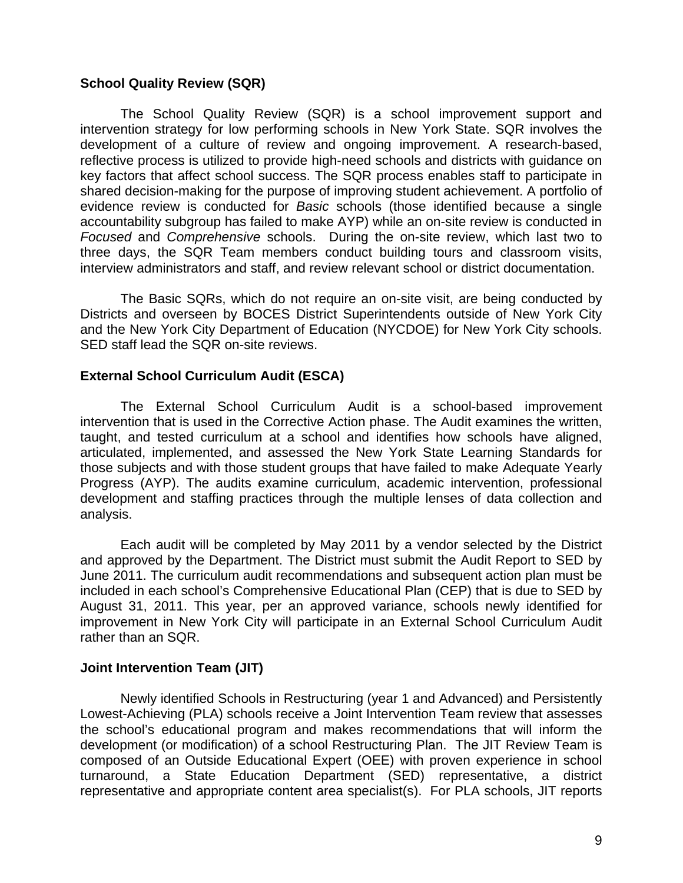# **School Quality Review (SQR)**

The School Quality Review (SQR) is a school improvement support and intervention strategy for low performing schools in New York State. SQR involves the development of a culture of review and ongoing improvement. A research-based, reflective process is utilized to provide high-need schools and districts with guidance on key factors that affect school success. The SQR process enables staff to participate in shared decision-making for the purpose of improving student achievement. A portfolio of evidence review is conducted for *Basic* schools (those identified because a single accountability subgroup has failed to make AYP) while an on-site review is conducted in *Focused* and *Comprehensive* schools. During the on-site review, which last two to three days, the SQR Team members conduct building tours and classroom visits, interview administrators and staff, and review relevant school or district documentation.

The Basic SQRs, which do not require an on-site visit, are being conducted by Districts and overseen by BOCES District Superintendents outside of New York City and the New York City Department of Education (NYCDOE) for New York City schools. SED staff lead the SQR on-site reviews.

### **External School Curriculum Audit (ESCA)**

The External School Curriculum Audit is a school-based improvement intervention that is used in the Corrective Action phase. The Audit examines the written, taught, and tested curriculum at a school and identifies how schools have aligned, articulated, implemented, and assessed the New York State Learning Standards for those subjects and with those student groups that have failed to make Adequate Yearly Progress (AYP). The audits examine curriculum, academic intervention, professional development and staffing practices through the multiple lenses of data collection and analysis.

Each audit will be completed by May 2011 by a vendor selected by the District and approved by the Department. The District must submit the Audit Report to SED by June 2011. The curriculum audit recommendations and subsequent action plan must be included in each school's Comprehensive Educational Plan (CEP) that is due to SED by August 31, 2011. This year, per an approved variance, schools newly identified for improvement in New York City will participate in an External School Curriculum Audit rather than an SQR.

#### **Joint Intervention Team (JIT)**

Newly identified Schools in Restructuring (year 1 and Advanced) and Persistently Lowest-Achieving (PLA) schools receive a Joint Intervention Team review that assesses the school's educational program and makes recommendations that will inform the development (or modification) of a school Restructuring Plan. The JIT Review Team is composed of an Outside Educational Expert (OEE) with proven experience in school turnaround, a State Education Department (SED) representative, a district representative and appropriate content area specialist(s). For PLA schools, JIT reports